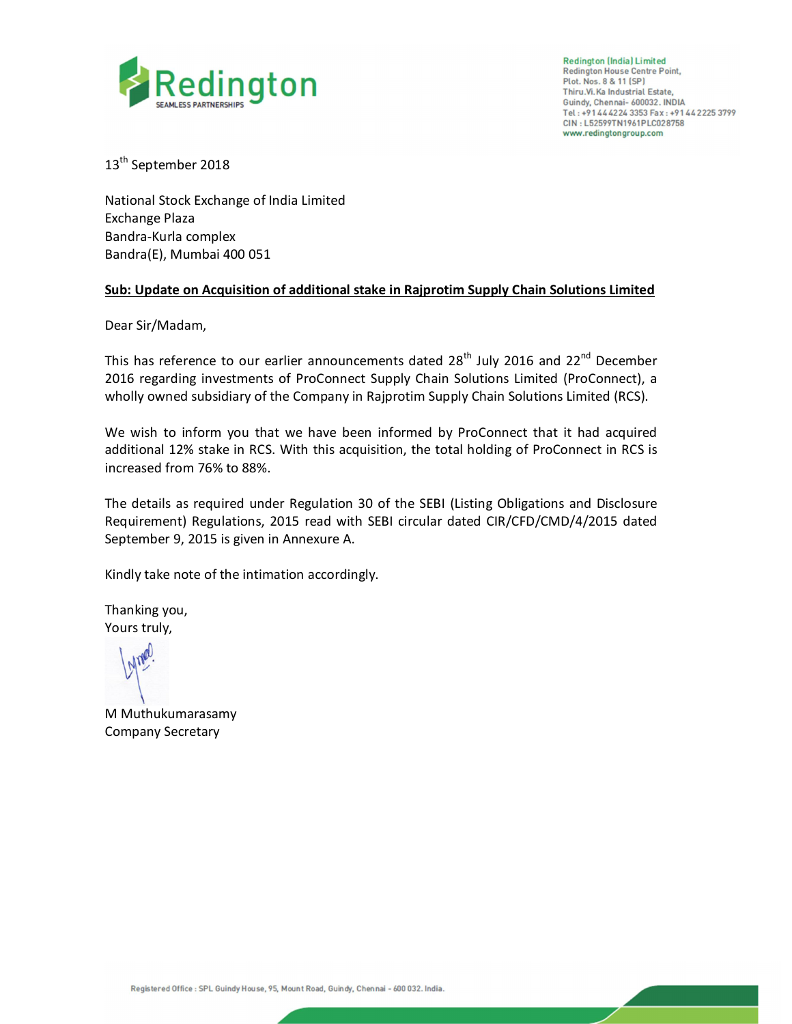

**Redington (India) Limited Redington House Centre Point,** Plot. Nos. 8 & 11 (SP) Thiru.Vi.Ka Industrial Estate, Guindy, Chennai- 600032. INDIA Tel: +91 44 42 24 3353 Fax: +91 44 2225 3799 CIN: L52599TN1961PLC028758 www.redingtongroup.com

13<sup>th</sup> September 2018

National Stock Exchange of India Limited Exchange Plaza Bandra-Kurla complex Bandra(E), Mumbai 400 051

## **Sub: Update on Acquisition of additional stake in Rajprotim Supply Chain Solutions Limited**

Dear Sir/Madam,

This has reference to our earlier announcements dated 28<sup>th</sup> July 2016 and 22<sup>nd</sup> December 2016 regarding investments of ProConnect Supply Chain Solutions Limited (ProConnect), a wholly owned subsidiary of the Company in Rajprotim Supply Chain Solutions Limited (RCS).

We wish to inform you that we have been informed by ProConnect that it had acquired additional 12% stake in RCS. With this acquisition, the total holding of ProConnect in RCS is increased from 76% to 88%.

The details as required under Regulation 30 of the SEBI (Listing Obligations and Disclosure Requirement) Regulations, 2015 read with SEBI circular dated CIR/CFD/CMD/4/2015 dated September 9, 2015 is given in Annexure A.

Kindly take note of the intimation accordingly.

Thanking you, Yours truly,

M Muthukumarasamy Company Secretary